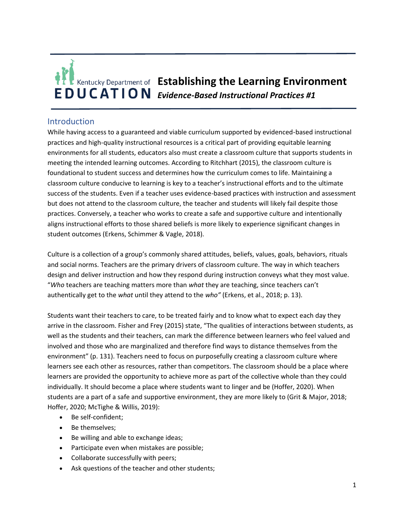# **E** Kentucky Department of **Establishing the Learning Environment EDUCATION** Evidence-Based Instructional Practices #1

## Introduction

While having access to a guaranteed and viable curriculum supported by evidenced-based instructional practices and high-quality instructional resources is a critical part of providing equitable learning environments for all students, educators also must create a classroom culture that supports students in meeting the intended learning outcomes. According to Ritchhart (2015), the classroom culture is foundational to student success and determines how the curriculum comes to life. Maintaining a classroom culture conducive to learning is key to a teacher's instructional efforts and to the ultimate success of the students. Even if a teacher uses evidence-based practices with instruction and assessment but does not attend to the classroom culture, the teacher and students will likely fail despite those practices. Conversely, a teacher who works to create a safe and supportive culture and intentionally aligns instructional efforts to those shared beliefs is more likely to experience significant changes in student outcomes (Erkens, Schimmer & Vagle, 2018).

Culture is a collection of a group's commonly shared attitudes, beliefs, values, goals, behaviors, rituals and social norms. Teachers are the primary drivers of classroom culture. The way in which teachers design and deliver instruction and how they respond during instruction conveys what they most value. "*Who* teachers are teaching matters more than *what* they are teaching, since teachers can't authentically get to the *what* until they attend to the *who"* (Erkens, et al., 2018; p. 13).

Students want their teachers to care, to be treated fairly and to know what to expect each day they arrive in the classroom. Fisher and Frey (2015) state, "The qualities of interactions between students, as well as the students and their teachers, can mark the difference between learners who feel valued and involved and those who are marginalized and therefore find ways to distance themselves from the environment" (p. 131). Teachers need to focus on purposefully creating a classroom culture where learners see each other as resources, rather than competitors. The classroom should be a place where learners are provided the opportunity to achieve more as part of the collective whole than they could individually. It should become a place where students want to linger and be (Hoffer, 2020). When students are a part of a safe and supportive environment, they are more likely to (Grit & Major, 2018; Hoffer, 2020; McTighe & Willis, 2019):

- Be self-confident;
- Be themselves;
- Be willing and able to exchange ideas;
- Participate even when mistakes are possible;
- Collaborate successfully with peers;
- Ask questions of the teacher and other students;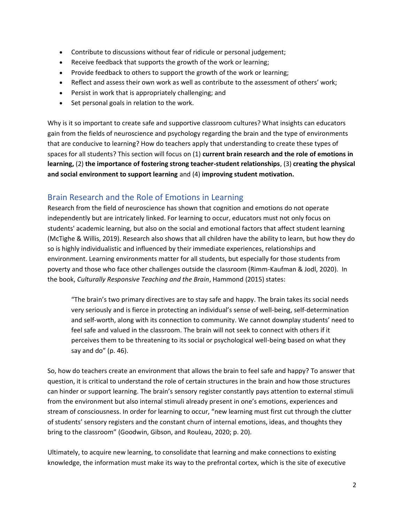- Contribute to discussions without fear of ridicule or personal judgement;
- Receive feedback that supports the growth of the work or learning;
- Provide feedback to others to support the growth of the work or learning;
- Reflect and assess their own work as well as contribute to the assessment of others' work;
- Persist in work that is appropriately challenging; and
- Set personal goals in relation to the work.

Why is it so important to create safe and supportive classroom cultures? What insights can educators gain from the fields of neuroscience and psychology regarding the brain and the type of environments that are conducive to learning? How do teachers apply that understanding to create these types of spaces for all students? This section will focus on (1) **current brain research and the role of emotions in learning,** (2) **the importance of fostering strong teacher-student relationships**, (3) **creating the physical and social environment to support learning** and (4) **improving student motivation.**

## Brain Research and the Role of Emotions in Learning

Research from the field of neuroscience has shown that cognition and emotions do not operate independently but are intricately linked. For learning to occur, educators must not only focus on students' academic learning, but also on the social and emotional factors that affect student learning (McTighe & Willis, 2019). Research also shows that all children have the ability to learn, but how they do so is highly individualistic and influenced by their immediate experiences, relationships and environment. Learning environments matter for all students, but especially for those students from poverty and those who face other challenges outside the classroom (Rimm-Kaufman & Jodl, 2020). In the book, *Culturally Responsive Teaching and the Brain*, Hammond (2015) states:

"The brain's two primary directives are to stay safe and happy. The brain takes its social needs very seriously and is fierce in protecting an individual's sense of well-being, self-determination and self-worth, along with its connection to community. We cannot downplay students' need to feel safe and valued in the classroom. The brain will not seek to connect with others if it perceives them to be threatening to its social or psychological well-being based on what they say and do" (p. 46).

So, how do teachers create an environment that allows the brain to feel safe and happy? To answer that question, it is critical to understand the role of certain structures in the brain and how those structures can hinder or support learning. The brain's sensory register constantly pays attention to external stimuli from the environment but also internal stimuli already present in one's emotions, experiences and stream of consciousness. In order for learning to occur, "new learning must first cut through the clutter of students' sensory registers and the constant churn of internal emotions, ideas, and thoughts they bring to the classroom" (Goodwin, Gibson, and Rouleau, 2020; p. 20).

Ultimately, to acquire new learning, to consolidate that learning and make connections to existing knowledge, the information must make its way to the prefrontal cortex, which is the site of executive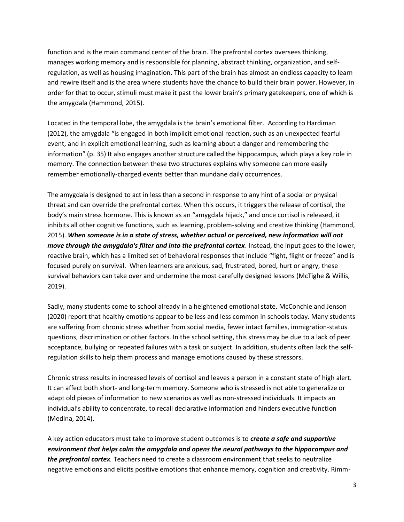function and is the main command center of the brain. The prefrontal cortex oversees thinking, manages working memory and is responsible for planning, abstract thinking, organization, and selfregulation, as well as housing imagination. This part of the brain has almost an endless capacity to learn and rewire itself and is the area where students have the chance to build their brain power. However, in order for that to occur, stimuli must make it past the lower brain's primary gatekeepers, one of which is the amygdala (Hammond, 2015).

Located in the temporal lobe, the amygdala is the brain's emotional filter. According to Hardiman (2012), the amygdala "is engaged in both implicit emotional reaction, such as an unexpected fearful event, and in explicit emotional learning, such as learning about a danger and remembering the information" (p. 35) It also engages another structure called the hippocampus, which plays a key role in memory. The connection between these two structures explains why someone can more easily remember emotionally-charged events better than mundane daily occurrences.

The amygdala is designed to act in less than a second in response to any hint of a social or physical threat and can override the prefrontal cortex. When this occurs, it triggers the release of cortisol, the body's main stress hormone. This is known as an "amygdala hijack," and once cortisol is released, it inhibits all other cognitive functions, such as learning, problem-solving and creative thinking (Hammond, 2015). *When someone is in a state of stress, whether actual or perceived, new information will not move through the amygdala's filter and into the prefrontal cortex*. Instead, the input goes to the lower, reactive brain, which has a limited set of behavioral responses that include "fight, flight or freeze" and is focused purely on survival. When learners are anxious, sad, frustrated, bored, hurt or angry, these survival behaviors can take over and undermine the most carefully designed lessons (McTighe & Willis, 2019).

Sadly, many students come to school already in a heightened emotional state. McConchie and Jenson (2020) report that healthy emotions appear to be less and less common in schools today. Many students are suffering from chronic stress whether from social media, fewer intact families, immigration-status questions, discrimination or other factors. In the school setting, this stress may be due to a lack of peer acceptance, bullying or repeated failures with a task or subject. In addition, students often lack the selfregulation skills to help them process and manage emotions caused by these stressors.

Chronic stress results in increased levels of cortisol and leaves a person in a constant state of high alert. It can affect both short- and long-term memory. Someone who is stressed is not able to generalize or adapt old pieces of information to new scenarios as well as non-stressed individuals. It impacts an individual's ability to concentrate, to recall declarative information and hinders executive function (Medina, 2014).

A key action educators must take to improve student outcomes is to *create a safe and supportive environment that helps calm the amygdala and opens the neural pathways to the hippocampus and the prefrontal cortex.* Teachers need to create a classroom environment that seeks to neutralize negative emotions and elicits positive emotions that enhance memory, cognition and creativity. Rimm-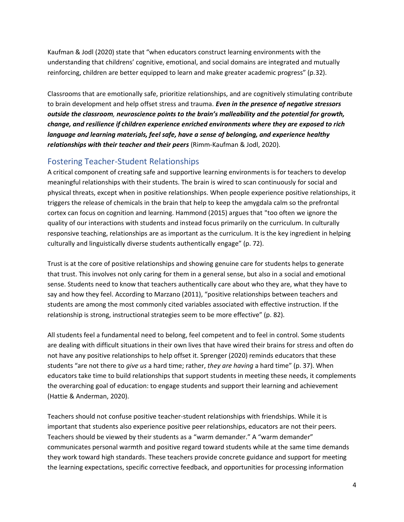Kaufman & Jodl (2020) state that "when educators construct learning environments with the understanding that childrens' cognitive, emotional, and social domains are integrated and mutually reinforcing, children are better equipped to learn and make greater academic progress" (p.32).

Classrooms that are emotionally safe, prioritize relationships, and are cognitively stimulating contribute to brain development and help offset stress and trauma. *Even in the presence of negative stressors outside the classroom, neuroscience points to the brain's malleability and the potential for growth, change, and resilience if children experience enriched environments where they are exposed to rich language and learning materials, feel safe, have a sense of belonging, and experience healthy relationships with their teacher and their peers* (Rimm-Kaufman & Jodl, 2020).

## Fostering Teacher-Student Relationships

A critical component of creating safe and supportive learning environments is for teachers to develop meaningful relationships with their students. The brain is wired to scan continuously for social and physical threats, except when in positive relationships. When people experience positive relationships, it triggers the release of chemicals in the brain that help to keep the amygdala calm so the prefrontal cortex can focus on cognition and learning. Hammond (2015) argues that "too often we ignore the quality of our interactions with students and instead focus primarily on the curriculum. In culturally responsive teaching, relationships are as important as the curriculum. It is the key ingredient in helping culturally and linguistically diverse students authentically engage" (p. 72).

Trust is at the core of positive relationships and showing genuine care for students helps to generate that trust. This involves not only caring for them in a general sense, but also in a social and emotional sense. Students need to know that teachers authentically care about who they are, what they have to say and how they feel. According to Marzano (2011), "positive relationships between teachers and students are among the most commonly cited variables associated with effective instruction. If the relationship is strong, instructional strategies seem to be more effective" (p. 82).

All students feel a fundamental need to belong, feel competent and to feel in control. Some students are dealing with difficult situations in their own lives that have wired their brains for stress and often do not have any positive relationships to help offset it. Sprenger (2020) reminds educators that these students "are not there to *give us* a hard time; rather, *they are having* a hard time" (p. 37). When educators take time to build relationships that support students in meeting these needs, it complements the overarching goal of education: to engage students and support their learning and achievement (Hattie & Anderman, 2020).

Teachers should not confuse positive teacher-student relationships with friendships. While it is important that students also experience positive peer relationships, educators are not their peers. Teachers should be viewed by their students as a "warm demander." A "warm demander" communicates personal warmth and positive regard toward students while at the same time demands they work toward high standards. These teachers provide concrete guidance and support for meeting the learning expectations, specific corrective feedback, and opportunities for processing information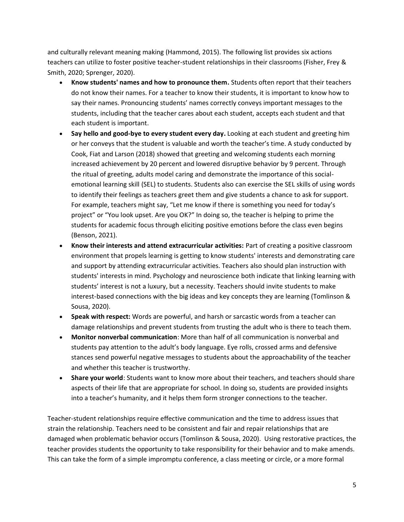and culturally relevant meaning making (Hammond, 2015). The following list provides six actions teachers can utilize to foster positive teacher-student relationships in their classrooms (Fisher, Frey & Smith, 2020; Sprenger, 2020).

- **Know students' names and how to pronounce them.** Students often report that their teachers do not know their names. For a teacher to know their students, it is important to know how to say their names. Pronouncing students' names correctly conveys important messages to the students, including that the teacher cares about each student, accepts each student and that each student is important.
- **Say hello and good-bye to every student every day.** Looking at each student and greeting him or her conveys that the student is valuable and worth the teacher's time. A study conducted by Cook, Fiat and Larson (2018) showed that greeting and welcoming students each morning increased achievement by 20 percent and lowered disruptive behavior by 9 percent. Through the ritual of greeting, adults model caring and demonstrate the importance of this socialemotional learning skill (SEL) to students. Students also can exercise the SEL skills of using words to identify their feelings as teachers greet them and give students a chance to ask for support. For example, teachers might say, "Let me know if there is something you need for today's project" or "You look upset. Are you OK?" In doing so, the teacher is helping to prime the students for academic focus through eliciting positive emotions before the class even begins (Benson, 2021).
- **Know their interests and attend extracurricular activities:** Part of creating a positive classroom environment that propels learning is getting to know students' interests and demonstrating care and support by attending extracurricular activities. Teachers also should plan instruction with students' interests in mind. Psychology and neuroscience both indicate that linking learning with students' interest is not a luxury, but a necessity. Teachers should invite students to make interest-based connections with the big ideas and key concepts they are learning (Tomlinson & Sousa, 2020).
- **Speak with respect:** Words are powerful, and harsh or sarcastic words from a teacher can damage relationships and prevent students from trusting the adult who is there to teach them.
- **Monitor nonverbal communication**: More than half of all communication is nonverbal and students pay attention to the adult's body language. Eye rolls, crossed arms and defensive stances send powerful negative messages to students about the approachability of the teacher and whether this teacher is trustworthy.
- **Share your world**: Students want to know more about their teachers, and teachers should share aspects of their life that are appropriate for school. In doing so, students are provided insights into a teacher's humanity, and it helps them form stronger connections to the teacher.

Teacher-student relationships require effective communication and the time to address issues that strain the relationship. Teachers need to be consistent and fair and repair relationships that are damaged when problematic behavior occurs (Tomlinson & Sousa, 2020). Using restorative practices, the teacher provides students the opportunity to take responsibility for their behavior and to make amends. This can take the form of a simple impromptu conference, a class meeting or circle, or a more formal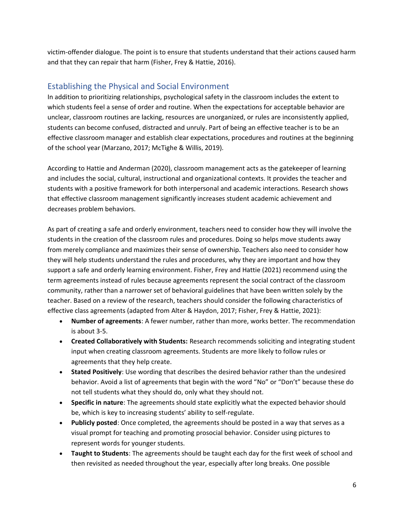victim-offender dialogue. The point is to ensure that students understand that their actions caused harm and that they can repair that harm (Fisher, Frey & Hattie, 2016).

## Establishing the Physical and Social Environment

In addition to prioritizing relationships, psychological safety in the classroom includes the extent to which students feel a sense of order and routine. When the expectations for acceptable behavior are unclear, classroom routines are lacking, resources are unorganized, or rules are inconsistently applied, students can become confused, distracted and unruly. Part of being an effective teacher is to be an effective classroom manager and establish clear expectations, procedures and routines at the beginning of the school year (Marzano, 2017; McTighe & Willis, 2019).

According to Hattie and Anderman (2020), classroom management acts as the gatekeeper of learning and includes the social, cultural, instructional and organizational contexts. It provides the teacher and students with a positive framework for both interpersonal and academic interactions. Research shows that effective classroom management significantly increases student academic achievement and decreases problem behaviors.

As part of creating a safe and orderly environment, teachers need to consider how they will involve the students in the creation of the classroom rules and procedures. Doing so helps move students away from merely compliance and maximizes their sense of ownership. Teachers also need to consider how they will help students understand the rules and procedures, why they are important and how they support a safe and orderly learning environment. Fisher, Frey and Hattie (2021) recommend using the term agreements instead of rules because agreements represent the social contract of the classroom community, rather than a narrower set of behavioral guidelines that have been written solely by the teacher. Based on a review of the research, teachers should consider the following characteristics of effective class agreements (adapted from Alter & Haydon, 2017; Fisher, Frey & Hattie, 2021):

- **Number of agreements**: A fewer number, rather than more, works better. The recommendation is about 3-5.
- **Created Collaboratively with Students:** Research recommends soliciting and integrating student input when creating classroom agreements. Students are more likely to follow rules or agreements that they help create.
- **Stated Positively**: Use wording that describes the desired behavior rather than the undesired behavior. Avoid a list of agreements that begin with the word "No" or "Don't" because these do not tell students what they should do, only what they should not.
- **Specific in nature**: The agreements should state explicitly what the expected behavior should be, which is key to increasing students' ability to self-regulate.
- **Publicly posted**: Once completed, the agreements should be posted in a way that serves as a visual prompt for teaching and promoting prosocial behavior. Consider using pictures to represent words for younger students.
- **Taught to Students**: The agreements should be taught each day for the first week of school and then revisited as needed throughout the year, especially after long breaks. One possible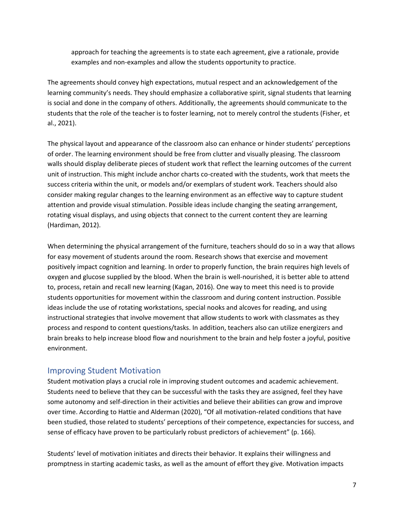approach for teaching the agreements is to state each agreement, give a rationale, provide examples and non-examples and allow the students opportunity to practice.

The agreements should convey high expectations, mutual respect and an acknowledgement of the learning community's needs. They should emphasize a collaborative spirit, signal students that learning is social and done in the company of others. Additionally, the agreements should communicate to the students that the role of the teacher is to foster learning, not to merely control the students (Fisher, et al., 2021).

The physical layout and appearance of the classroom also can enhance or hinder students' perceptions of order. The learning environment should be free from clutter and visually pleasing. The classroom walls should display deliberate pieces of student work that reflect the learning outcomes of the current unit of instruction. This might include anchor charts co-created with the students, work that meets the success criteria within the unit, or models and/or exemplars of student work. Teachers should also consider making regular changes to the learning environment as an effective way to capture student attention and provide visual stimulation. Possible ideas include changing the seating arrangement, rotating visual displays, and using objects that connect to the current content they are learning (Hardiman, 2012).

When determining the physical arrangement of the furniture, teachers should do so in a way that allows for easy movement of students around the room. Research shows that exercise and movement positively impact cognition and learning. In order to properly function, the brain requires high levels of oxygen and glucose supplied by the blood. When the brain is well-nourished, it is better able to attend to, process, retain and recall new learning (Kagan, 2016). One way to meet this need is to provide students opportunities for movement within the classroom and during content instruction. Possible ideas include the use of rotating workstations, special nooks and alcoves for reading, and using instructional strategies that involve movement that allow students to work with classmates as they process and respond to content questions/tasks. In addition, teachers also can utilize energizers and brain breaks to help increase blood flow and nourishment to the brain and help foster a joyful, positive environment.

### Improving Student Motivation

Student motivation plays a crucial role in improving student outcomes and academic achievement. Students need to believe that they can be successful with the tasks they are assigned, feel they have some autonomy and self-direction in their activities and believe their abilities can grow and improve over time. According to Hattie and Alderman (2020), "Of all motivation-related conditions that have been studied, those related to students' perceptions of their competence, expectancies for success, and sense of efficacy have proven to be particularly robust predictors of achievement" (p. 166).

Students' level of motivation initiates and directs their behavior. It explains their willingness and promptness in starting academic tasks, as well as the amount of effort they give. Motivation impacts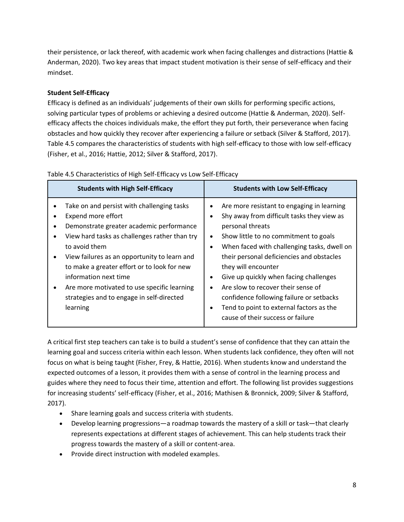their persistence, or lack thereof, with academic work when facing challenges and distractions (Hattie & Anderman, 2020). Two key areas that impact student motivation is their sense of self-efficacy and their mindset.

#### **Student Self-Efficacy**

Efficacy is defined as an individuals' judgements of their own skills for performing specific actions, solving particular types of problems or achieving a desired outcome (Hattie & Anderman, 2020). Selfefficacy affects the choices individuals make, the effort they put forth, their perseverance when facing obstacles and how quickly they recover after experiencing a failure or setback (Silver & Stafford, 2017). Table 4.5 compares the characteristics of students with high self-efficacy to those with low self-efficacy (Fisher, et al., 2016; Hattie, 2012; Silver & Stafford, 2017).

| <b>Students with High Self-Efficacy</b>                                                                                                                                                                                                                                                                                                                                                                        | <b>Students with Low Self-Efficacy</b>                                                                                                                                                                                                                                                                                                                                                                                                                                                                                                                                           |
|----------------------------------------------------------------------------------------------------------------------------------------------------------------------------------------------------------------------------------------------------------------------------------------------------------------------------------------------------------------------------------------------------------------|----------------------------------------------------------------------------------------------------------------------------------------------------------------------------------------------------------------------------------------------------------------------------------------------------------------------------------------------------------------------------------------------------------------------------------------------------------------------------------------------------------------------------------------------------------------------------------|
| Take on and persist with challenging tasks<br>Expend more effort<br>Demonstrate greater academic performance<br>View hard tasks as challenges rather than try<br>to avoid them<br>View failures as an opportunity to learn and<br>to make a greater effort or to look for new<br>information next time<br>Are more motivated to use specific learning<br>strategies and to engage in self-directed<br>learning | Are more resistant to engaging in learning<br>$\bullet$<br>Shy away from difficult tasks they view as<br>$\bullet$<br>personal threats<br>Show little to no commitment to goals<br>$\bullet$<br>When faced with challenging tasks, dwell on<br>$\bullet$<br>their personal deficiencies and obstacles<br>they will encounter<br>Give up quickly when facing challenges<br>$\bullet$<br>Are slow to recover their sense of<br>$\bullet$<br>confidence following failure or setbacks<br>Tend to point to external factors as the<br>$\bullet$<br>cause of their success or failure |

#### Table 4.5 Characteristics of High Self-Efficacy vs Low Self-Efficacy

A critical first step teachers can take is to build a student's sense of confidence that they can attain the learning goal and success criteria within each lesson. When students lack confidence, they often will not focus on what is being taught (Fisher, Frey, & Hattie, 2016). When students know and understand the expected outcomes of a lesson, it provides them with a sense of control in the learning process and guides where they need to focus their time, attention and effort. The following list provides suggestions for increasing students' self-efficacy (Fisher, et al., 2016; Mathisen & Bronnick, 2009; Silver & Stafford, 2017).

- Share learning goals and success criteria with students.
- Develop learning progressions—a roadmap towards the mastery of a skill or task—that clearly represents expectations at different stages of achievement. This can help students track their progress towards the mastery of a skill or content-area.
- Provide direct instruction with modeled examples.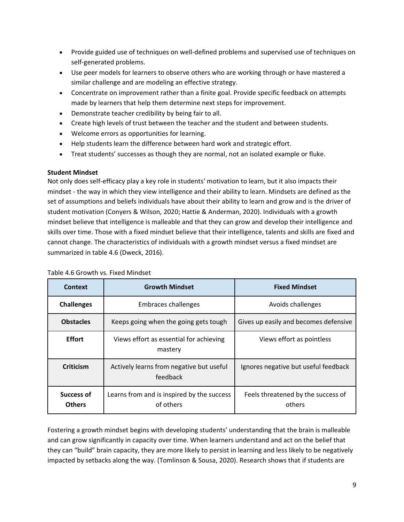- Provide guided use of techniques on well-defined problems and supervised use of techniques on self-generated problems.
- Use peer models for learners to observe others who are working through or have mastered a similar challenge and are modeling an effective strategy.
- Concentrate on improvement rather than a finite goal. Provide specific feedback on attempts made by learners that help them determine next steps for improvement.
- Demonstrate teacher credibility by being fair to all.
- Create high levels of trust between the teacher and the student and between students.
- Welcome errors as opportunities for learning.
- Help students learn the difference between hard work and strategic effort.
- Treat students' successes as though they are normal, not an isolated example or fluke.

#### **Student Mindset**

Not only does self-efficacy play a key role in students' motivation to learn, but it also impacts their mindset - the way in which they view intelligence and their ability to learn. Mindsets are defined as the set of assumptions and beliefs individuals have about their ability to learn and grow and is the driver of student motivation (Conyers & Wilson, 2020; Hattie & Anderman, 2020). Individuals with a growth mindset believe that intelligence is malleable and that they can grow and develop their intelligence and skills over time. Those with a fixed mindset believe that their intelligence, talents and skills are fixed and cannot change. The characteristics of individuals with a growth mindset versus a fixed mindset are summarized in table 4.6 (Dweck, 2016).

| Context                     | <b>Growth Mindset</b>                                   | <b>Fixed Mindset</b>                         |
|-----------------------------|---------------------------------------------------------|----------------------------------------------|
| <b>Challenges</b>           | Embraces challenges                                     | Avoids challenges                            |
| <b>Obstacles</b>            | Keeps going when the going gets tough                   | Gives up easily and becomes defensive        |
| <b>Effort</b>               | Views effort as essential for achieving<br>mastery      | Views effort as pointless                    |
| <b>Criticism</b>            | Actively learns from negative but useful<br>feedback    | Ignores negative but useful feedback         |
| Success of<br><b>Others</b> | Learns from and is inspired by the success<br>of others | Feels threatened by the success of<br>others |

#### Table 4.6 Growth vs. Fixed Mindset

Fostering a growth mindset begins with developing students' understanding that the brain is malleable and can grow significantly in capacity over time. When learners understand and act on the belief that they can "build" brain capacity, they are more likely to persist in learning and less likely to be negatively impacted by setbacks along the way. (Tomlinson & Sousa, 2020). Research shows that if students are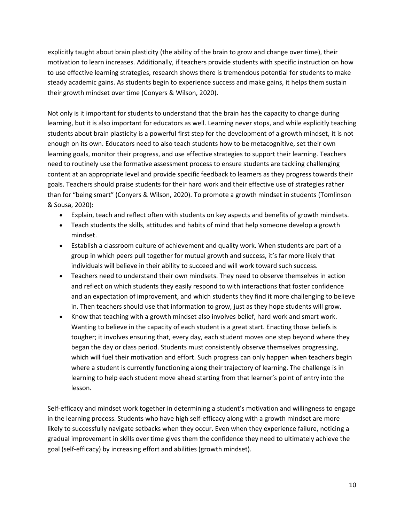explicitly taught about brain plasticity (the ability of the brain to grow and change over time), their motivation to learn increases. Additionally, if teachers provide students with specific instruction on how to use effective learning strategies, research shows there is tremendous potential for students to make steady academic gains. As students begin to experience success and make gains, it helps them sustain their growth mindset over time (Conyers & Wilson, 2020).

Not only is it important for students to understand that the brain has the capacity to change during learning, but it is also important for educators as well. Learning never stops, and while explicitly teaching students about brain plasticity is a powerful first step for the development of a growth mindset, it is not enough on its own. Educators need to also teach students how to be metacognitive, set their own learning goals, monitor their progress, and use effective strategies to support their learning. Teachers need to routinely use the formative assessment process to ensure students are tackling challenging content at an appropriate level and provide specific feedback to learners as they progress towards their goals. Teachers should praise students for their hard work and their effective use of strategies rather than for "being smart" (Conyers & Wilson, 2020). To promote a growth mindset in students (Tomlinson & Sousa, 2020):

- Explain, teach and reflect often with students on key aspects and benefits of growth mindsets.
- Teach students the skills, attitudes and habits of mind that help someone develop a growth mindset.
- Establish a classroom culture of achievement and quality work. When students are part of a group in which peers pull together for mutual growth and success, it's far more likely that individuals will believe in their ability to succeed and will work toward such success.
- Teachers need to understand their own mindsets. They need to observe themselves in action and reflect on which students they easily respond to with interactions that foster confidence and an expectation of improvement, and which students they find it more challenging to believe in. Then teachers should use that information to grow, just as they hope students will grow.
- Know that teaching with a growth mindset also involves belief, hard work and smart work. Wanting to believe in the capacity of each student is a great start. Enacting those beliefs is tougher; it involves ensuring that, every day, each student moves one step beyond where they began the day or class period. Students must consistently observe themselves progressing, which will fuel their motivation and effort. Such progress can only happen when teachers begin where a student is currently functioning along their trajectory of learning. The challenge is in learning to help each student move ahead starting from that learner's point of entry into the lesson.

Self-efficacy and mindset work together in determining a student's motivation and willingness to engage in the learning process. Students who have high self-efficacy along with a growth mindset are more likely to successfully navigate setbacks when they occur. Even when they experience failure, noticing a gradual improvement in skills over time gives them the confidence they need to ultimately achieve the goal (self-efficacy) by increasing effort and abilities (growth mindset).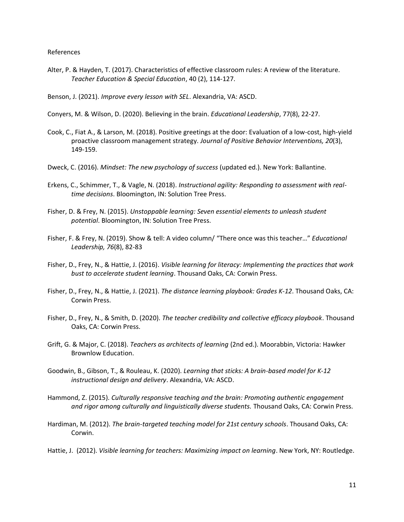#### References

Alter, P. & Hayden, T. (2017). Characteristics of effective classroom rules: A review of the literature. *Teacher Education & Special Education*, 40 (2), 114-127.

Benson, J. (2021). *Improve every lesson with SEL*. Alexandria, VA: ASCD.

Conyers, M. & Wilson, D. (2020). Believing in the brain. *Educational Leadership*, 77(8), 22-27.

- Cook, C., Fiat A., & Larson, M. (2018). Positive greetings at the door: Evaluation of a low-cost, high-yield proactive classroom management strategy. *Journal of Positive Behavior Interventions, 20*(3), 149-159.
- Dweck, C. (2016). *Mindset: The new psychology of success* (updated ed.). New York: Ballantine.
- Erkens, C., Schimmer, T., & Vagle, N. (2018). *Instructional agility: Responding to assessment with realtime decisions*. Bloomington, IN: Solution Tree Press.
- Fisher, D. & Frey, N. (2015). *Unstoppable learning: Seven essential elements to unleash student potential*. Bloomington, IN: Solution Tree Press.
- Fisher, F. & Frey, N. (2019). Show & tell: A video column/ "There once was this teacher…" *Educational Leadership, 76*(8), 82-83
- Fisher, D., Frey, N., & Hattie, J. (2016). *Visible learning for literacy: Implementing the practices that work bust to accelerate student learning*. Thousand Oaks, CA: Corwin Press.
- Fisher, D., Frey, N., & Hattie, J. (2021). *The distance learning playbook: Grades K-12*. Thousand Oaks, CA: Corwin Press.
- Fisher, D., Frey, N., & Smith, D. (2020). *The teacher credibility and collective efficacy playbook*. Thousand Oaks, CA: Corwin Press.
- Grift, G. & Major, C. (2018). *Teachers as architects of learning* (2nd ed.). Moorabbin, Victoria: Hawker Brownlow Education.
- Goodwin, B., Gibson, T., & Rouleau, K. (2020). *Learning that sticks: A brain-based model for K-12 instructional design and delivery*. Alexandria, VA: ASCD.
- Hammond, Z. (2015). *Culturally responsive teaching and the brain: Promoting authentic engagement and rigor among culturally and linguistically diverse students.* Thousand Oaks, CA: Corwin Press.
- Hardiman, M. (2012). *The brain-targeted teaching model for 21st century schools*. Thousand Oaks, CA: Corwin.

Hattie, J. (2012). *Visible learning for teachers: Maximizing impact on learning*. New York, NY: Routledge.